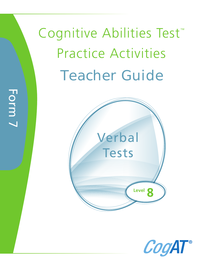Cognitive Abilities Test<sup>™</sup><br>Practice Activities  $\mathbb{P}$  Practice Activities Activities Activities Teacher Guide





Form 7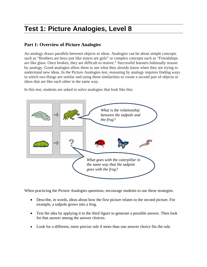# **Test 1: Picture Analogies, Level 8**

# **Part 1: Overview of Picture Analogies**

An analogy draws parallels between objects or ideas. Analogies can be about simple concepts such as "Brothers are boys just like sisters are girls" or complex concepts such as "Friendships are like glass. Once broken, they are difficult to restore." Successful learners habitually reason by analogy. Good analogies allow them to use what they already know when they are trying to understand new ideas. In the Picture Analogies test, reasoning by analogy requires finding ways in which two things are similar and using these similarities to create a second pair of objects or ideas that are like each other in the same way.

In this test, students are asked to solve analogies that look like this:



When practicing the Picture Analogies questions, encourage students to use these strategies.

- Describe, in words, ideas about how the first picture relates to the second picture. For example, a tadpole grows into a frog.
- Test the idea by applying it to the third figure to generate a possible answer. Then look for that answer among the answer choices.
- Look for a different, more precise rule if more than one answer choice fits the rule.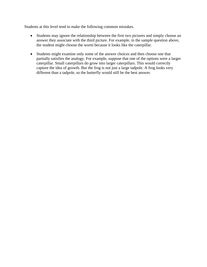Students at this level tend to make the following common mistakes.

- Students may ignore the relationship between the first two pictures and simply choose an answer they associate with the third picture. For example, in the sample question above, the student might choose the worm because it looks like the caterpillar.
- Students might examine only some of the answer choices and then choose one that partially satisfies the analogy. For example, suppose that one of the options were a larger caterpillar. Small caterpillars do grow into larger caterpillars. This would correctly capture the idea of growth. But the frog is not just a large tadpole. A frog looks very different than a tadpole, so the butterfly would still be the best answer.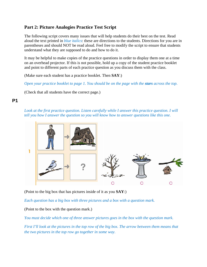# **Part 2: Picture Analogies Practice Test Script**

The following script covers many issues that will help students do their best on the test. Read aloud the text printed in *blue italics*: these are directions to the students. Directions for you are in parentheses and should NOT be read aloud. Feel free to modify the script to ensure that students understand what they are supposed to do and how to do it.

It may be helpful to make copies of the practice questions in order to display them one at a time on an overhead projector. If this is not possible, hold up a copy of the student practice booklet and point to different parts of each practice question as you discuss them with the class.

(Make sure each student has a practice booklet. Then **SAY**:)

*Open your practice booklet to page 1. You should be on the page with the <i>stars* across the top.

(Check that all students have the correct page.)

# **P1**

*Look at the first practice question. Listen carefully while I answer this practice question. I will tell you how I answer the question so you will know how to answer questions like this one.* 



(Point to the big box that has pictures inside of it as you **SAY**:)

*Each question has a big box with three pictures and a box with a question mark.* 

(Point to the box with the question mark.)

*You must decide which one of three answer pictures goes in the box with the question mark.* 

*First I'll look at the pictures in the top row of the big box. The arrow between them means that the two pictures in the top row go together in some way.*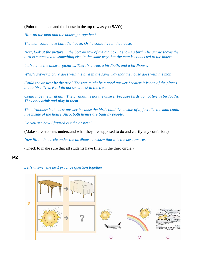(Point to the man and the house in the top row as you **SAY**:)

*How do the man and the house go together?*

*The man could have built the house. Or he could live in the house.* 

*Next, look at the picture in the bottom row of the big box. It shows a bird. The arrow shows the bird is connected to something else in the same way that the man is connected to the house.* 

*Let's name the answer pictures. There's a tree, a birdbath, and a birdhouse.* 

*Which answer picture goes with the bird in the same way that the house goes with the man?* 

*Could the answer be the tree? The tree might be a good answer because it is one of the places that a bird lives. But I do not see a nest in the tree.* 

*Could it be the birdbath? The birdbath is not the answer because birds do not live in birdbaths. They only drink and play in them.* 

*The birdhouse is the best answer because the bird could live inside of it, just like the man could live inside of the house. Also, both homes are built by people.* 

*Do you see how I figured out the answer?* 

(Make sure students understand what they are supposed to do and clarify any confusion.)

*Now fill in the circle under the birdhouse to show that it is the best answer.* 

(Check to make sure that all students have filled in the third circle.)

## **P2**

*Let's answer the next practice question together.* 

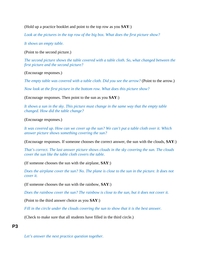(Hold up a practice booklet and point to the top row as you **SAY**:)

*Look at the pictures in the top row of the big box. What does the first picture show?* 

*It shows an empty table.* 

(Point to the second picture.)

*The second picture shows the table covered with a table cloth. So, what changed between the first picture and the second picture?* 

(Encourage responses.)

*The empty table was covered with a table cloth. Did you see the arrow?* (Point to the arrow.)

*Now look at the first picture in the bottom row. What does this picture show?* 

(Encourage responses. Then point to the sun as you **SAY**:)

*It shows a sun in the sky. This picture must change in the same way that the empty table changed. How did the table change?* 

(Encourage responses.)

*It was covered up. How can we cover up the sun? We can't put a table cloth over it. Which answer picture shows something covering the sun?* 

(Encourage responses. If someone chooses the correct answer, the sun with the clouds, **SAY**:)

*That's correct. The last answer picture shows clouds in the sky covering the sun. The clouds cover the sun like the table cloth covers the table.* 

(If someone chooses the sun with the airplane, **SAY**:)

*Does the airplane cover the sun? No. The plane is close to the sun in the picture. It does not cover it.* 

(If someone chooses the sun with the rainbow, **SAY**:)

*Does the rainbow cover the sun? The rainbow is close to the sun, but it does not cover it.* 

(Point to the third answer choice as you **SAY**:)

*Fill in the circle under the clouds covering the sun to show that it is the best answer.* 

(Check to make sure that all students have filled in the third circle.)

#### **P3**

*Let's answer the next practice question together.*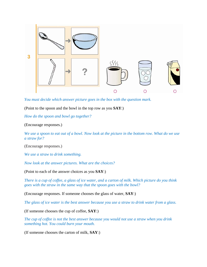

*You must decide which answer picture goes in the box with the question mark.* 

(Point to the spoon and the bowl in the top row as you **SAY**:)

*How do the spoon and bowl go together?* 

(Encourage responses.)

*We use a spoon to eat out of a bowl. Now look at the picture in the bottom row. What do we use a straw for?* 

(Encourage responses.)

*We use a straw to drink something.* 

*Now look at the answer pictures. What are the choices?* 

(Point to each of the answer choices as you **SAY**:)

*There is a cup of coffee, a glass of ice water, and a carton of milk. Which picture do you think goes with the straw in the same way that the spoon goes with the bowl?* 

(Encourage responses. If someone chooses the glass of water, **SAY**:)

*The glass of ice water is the best answer because you use a straw to drink water from a glass.* 

(If someone chooses the cup of coffee, **SAY**:)

*The cup of coffee is not the best answer because you would not use a straw when you drink something hot. You could burn your mouth.* 

(If someone chooses the carton of milk, **SAY**:)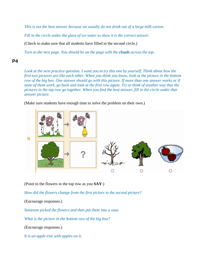*This is not the best answer because we usually do not drink out of a large milk carton.* 

*Fill in the circle under the glass of ice water to show it is the correct answer.* 

(Check to make sure that all students have filled in the second circle.)

*Turn to the next page. You should be on the page with the clouds across the top.* 

## **P4**

*Look at the next practice question. I want you to try this one by yourself. Think about how the first two pictures are like each other. When you think you know, look at the picture in the bottom row of the big box. One answer should go with this picture. If more than one answer works or if none of them work, go back and look at the first row again. Try to think of another way that the pictures in the top row go together. When you find the best answer, fill in the circle under that answer picture.* 

(Make sure students have enough time to solve the problem on their own.)



(Point to the flowers in the top row as you **SAY**:)

*How did the flowers change from the first picture to the second picture?* 

(Encourage responses.)

*Someone picked the flowers and then put them into a vase.* 

*What is the picture in the bottom row of the big box?* 

(Encourage responses.)

*It is an apple tree with apples on it.*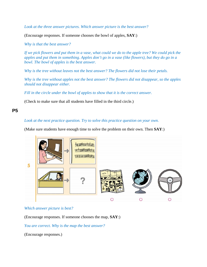*Look at the three answer pictures. Which answer picture is the best answer?* 

(Encourage responses. If someone chooses the bowl of apples, **SAY**:)

*Why is that the best answer?* 

*If we pick flowers and put them in a vase, what could we do to the apple tree? We could pick the apples and put them in something. Apples don't go in a vase (like flowers), but they do go in a bowl. The bowl of apples is the best answer.* 

*Why is the tree without leaves not the best answer? The flowers did not lose their petals.* 

*Why is the tree without apples not the best answer? The flowers did not disappear, so the apples should not disappear either.* 

*Fill in the circle under the bowl of apples to show that it is the correct answer.* 

(Check to make sure that all students have filled in the third circle.)

## **P5**

#### *Look at the next practice question. Try to solve this practice question on your own.*

(Make sure students have enough time to solve the problem on their own. Then **SAY**:)



#### *Which answer picture is best?*

(Encourage responses. If someone chooses the map, **SAY**:)

*You are correct. Why is the map the best answer?* 

(Encourage responses.)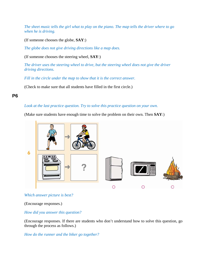*The sheet music tells the girl what to play on the piano. The map tells the driver where to go when he is driving.* 

(If someone chooses the globe, **SAY**:)

*The globe does not give driving directions like a map does.* 

(If someone chooses the steering wheel, **SAY**:)

*The driver uses the steering wheel to drive, but the steering wheel does not give the driver driving directions.* 

*Fill in the circle under the map to show that it is the correct answer.* 

(Check to make sure that all students have filled in the first circle.)

## **P6**

## *Look at the last practice question. Try to solve this practice question on your own.*

(Make sure students have enough time to solve the problem on their own. Then **SAY**:)



#### *Which answer picture is best?*

(Encourage responses.)

*How did you answer this question?* 

(Encourage responses. If there are students who don't understand how to solve this question, go through the process as follows.)

*How do the runner and the biker go together?*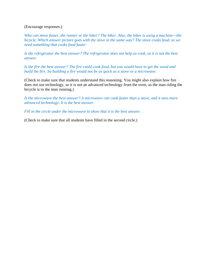#### (Encourage responses.)

*Who can move faster, the runner or the biker? The biker. Also, the biker is using a machine—the bicycle. Which answer picture goes with the stove in the same way? The stove cooks food, so we need something that cooks food faster.*

*Is the refrigerator the best answer? The refrigerator does not help us cook, so it is not the best answer.*

*Is the fire the best answer? The fire could cook food, but you would have to get the wood and build the fire. So building a fire would not be as quick as a stove or a microwave.* 

(Check to make sure that students understand this reasoning. You might also explain how fire does not use technology, so it is not an advanced technology from the oven, as the man riding the bicycle is to the man running.)

*Is the microwave the best answer? A microwave can cook faster than a stove, and it uses more advanced technology. It is the best answer.* 

*Fill in the circle under the microwave to show that it is the best answer.* 

(Check to make sure that all students have filled in the second circle.)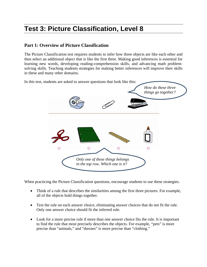# **Test 3: Picture Classification, Level 8**

# **Part 1: Overview of Picture Classification**

The Picture Classification test requires students to infer how three objects are like each other and then select an additional object that is like the first three. Making good inferences is essential for learning new words, developing reading-comprehension skills, and advancing math problemsolving skills. Teaching students strategies for making better inferences will improve their skills in these and many other domains.

In this test, students are asked to answer questions that look like this: *How do these three things go together?*   $\overline{O}$  $\circ$ *Only one of these things belongs in the top row. Which one is it?* 

When practicing the Picture Classification questions, encourage students to use these strategies.

- Think of a rule that describes the similarities among the first three pictures. For example, all of the objects hold things together.
- Test the rule on each answer choice, eliminating answer choices that do not fit the rule. Only one answer choice should fit the inferred rule.
- Look for a more precise rule if more than one answer choice fits the rule. It is important to find the rule that most precisely describes the objects. For example, "pets" is more precise than "animals," and "dresses" is more precise than "clothing."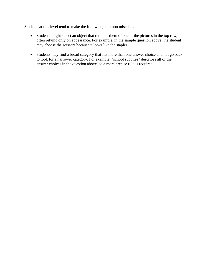Students at this level tend to make the following common mistakes.

- Students might select an object that reminds them of one of the pictures in the top row, often relying only on appearance. For example, in the sample question above, the student may choose the scissors because it looks like the stapler.
- Students may find a broad category that fits more than one answer choice and not go back to look for a narrower category. For example, "school supplies" describes all of the answer choices in the question above, so a more precise rule is required.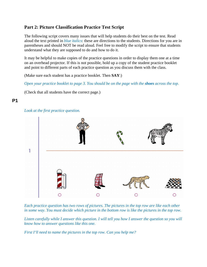# **Part 2: Picture Classification Practice Test Script**

The following script covers many issues that will help students do their best on the test. Read aloud the text printed in *blue italics*: these are directions to the students. Directions for you are in parentheses and should NOT be read aloud. Feel free to modify the script to ensure that students understand what they are supposed to do and how to do it.

It may be helpful to make copies of the practice questions in order to display them one at a time on an overhead projector. If this is not possible, hold up a copy of the student practice booklet and point to different parts of each practice question as you discuss them with the class.

(Make sure each student has a practice booklet. Then **SAY**:)

*Open your practice booklet to page 3. You should be on the page with the <i>shoes* across the top.

(Check that all students have the correct page.)

## **P1**

#### *Look at the first practice question.*



*Each practice question has two rows of pictures. The pictures in the top row are like each other in some way. You must decide which picture in the bottom row is like the pictures in the top row.* 

*Listen carefully while I answer this question. I will tell you how I answer the question so you will know how to answer questions like this one.* 

*First I'll need to name the pictures in the top row. Can you help me?*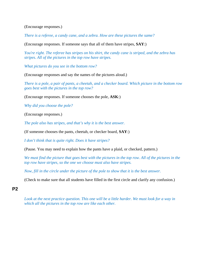(Encourage responses.)

*There is a referee, a candy cane, and a zebra. How are these pictures the same?* 

(Encourage responses. If someone says that all of them have stripes, **SAY**:)

*You're right. The referee has stripes on his shirt, the candy cane is striped, and the zebra has stripes. All of the pictures in the top row have stripes.* 

*What pictures do you see in the bottom row?* 

(Encourage responses and say the names of the pictures aloud.)

*There is a pole, a pair of pants, a cheetah, and a checker board. Which picture in the bottom row goes best with the pictures in the top row?* 

(Encourage responses. If someone chooses the pole, **ASK**:)

*Why did you choose the pole?* 

(Encourage responses.)

*The pole also has stripes, and that's why it is the best answer.* 

(If someone chooses the pants, cheetah, or checker board, **SAY**:)

*I don't think that is quite right. Does it have stripes?* 

(Pause. You may need to explain how the pants have a plaid, or checked, pattern.)

*We must find the picture that goes best with the pictures in the top row. All of the pictures in the top row have stripes, so the one we choose must also have stripes.* 

*Now, fill in the circle under the picture of the pole to show that it is the best answer.* 

(Check to make sure that all students have filled in the first circle and clarify any confusion.)

**P2** 

Look at the next practice question. This one will be a little harder. We must look for a way in *which all the pictures in the top row are like each other.*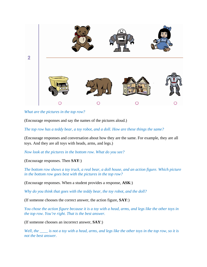

*What are the pictures in the top row?* 

(Encourage responses and say the names of the pictures aloud.)

*The top row has a teddy bear, a toy robot, and a doll. How are these things the same?* 

(Encourage responses and conversation about how they are the same. For example, they are all toys. And they are all toys with heads, arms, and legs.)

*Now look at the pictures in the bottom row. What do you see?* 

(Encourage responses. Then **SAY**:)

*The bottom row shows a toy truck, a real bear, a doll house, and an action figure. Which picture in the bottom row goes best with the pictures in the top row?* 

(Encourage responses. When a student provides a response, **ASK**:)

*Why do you think that goes with the teddy bear, the toy robot, and the doll?* 

(If someone chooses the correct answer, the action figure, **SAY**:)

*You chose the action figure because it is a toy with a head, arms, and legs like the other toys in the top row. You're right. That is the best answer.* 

(If someone chooses an incorrect answer, **SAY**:)

*Well, the \_\_\_\_ is not a toy with a head, arms, and legs like the other toys in the top row, so it is not the best answer.*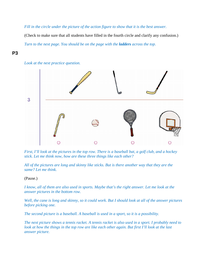*Fill in the circle under the picture of the action figure to show that it is the best answer.* 

(Check to make sure that all students have filled in the fourth circle and clarify any confusion.) *Turn to the next page. You should be on the page with the <i>ladders* across the top.

## **P3**





*First, I'll look at the pictures in the top row. There is a baseball bat, a golf club, and a hockey stick. Let me think now, how are these three things like each other?* 

*All of the pictures are long and skinny like sticks. But is there another way that they are the same? Let me think.* 

(Pause.)

*I know, all of them are also used in sports. Maybe that's the right answer. Let me look at the answer pictures in the bottom row.* 

*Well, the cane is long and skinny, so it could work. But I should look at all of the answer pictures before picking one.* 

*The second picture is a baseball. A baseball is used in a sport, so it is a possibility.* 

*The next picture shows a tennis racket. A tennis racket is also used in a sport. I probably need to look at how the things in the top row are like each other again. But first I'll look at the last answer picture.*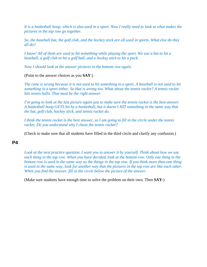*It is a basketball hoop, which is also used in a sport. Now I really need to look at what makes the pictures in the top row go together.* 

*So, the baseball bat, the golf club, and the hockey stick are all used in sports. What else do they all do?* 

*I know! All of them are used to hit something while playing the sport. We use a bat to hit a baseball, a golf club to hit a golf ball, and a hockey stick to hit a puck.* 

*Now I should look at the answer pictures in the bottom row again.* 

(Point to the answer choices as you **SAY**:)

*The cane is wrong because it is not used to hit something in a sport. A baseball is not used to hit something in a sport either. So that is wrong too. What about the tennis racket? A tennis racket hits tennis balls. That must be the right answer.* 

*I'm going to look at the last picture again just to make sure the tennis racket is the best answer. A basketball hoop GETS hit by a basketball, but it doesn't HIT something in the same way that the bat, golf club, hockey stick, and tennis racket do.* 

*I think the tennis racket is the best answer, so I am going to fill in the circle under the tennis racket. Do you understand why I chose the tennis racket?* 

(Check to make sure that all students have filled in the third circle and clarify any confusion.)

## **P4**

*Look at the next practice question. I want you to answer it by yourself. Think about how we use each thing in the top row. When you have decided, look at the bottom row. Only one thing in the bottom row is used in the same way as the things in the top row. If you think more than one thing is used in the same way, look for another way that the pictures in the top row are like each other. When you find the answer, fill in the circle below the picture of the answer.* 

(Make sure students have enough time to solve the problem on their own. Then **SAY**:)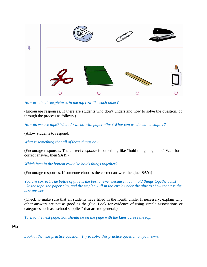

*How are the three pictures in the top row like each other?* 

(Encourage responses. If there are students who don't understand how to solve the question, go through the process as follows.)

*How do we use tape? What do we do with paper clips? What can we do with a stapler?* 

(Allow students to respond.)

*What is something that all of these things do?* 

(Encourage responses. The correct *response* is something like "hold things together." Wait for a correct answer, then **SAY**:)

*Which item in the bottom row also holds things together?* 

(Encourage responses. If someone chooses the correct answer, the glue, **SAY**:)

*You are correct. The bottle of glue is the best answer because it can hold things together, just like the tape, the paper clip, and the stapler. Fill in the circle under the glue to show that it is the best answer.* 

(Check to make sure that all students have filled in the fourth circle. If necessary, explain why other answers are not as good as the glue. Look for evidence of using simple associations or categories such as "school supplies" that are too general.)

*Turn to the next page. You should be on the page with the kites across the top.* 

## **P5**

*Look at the next practice question. Try to solve this practice question on your own.*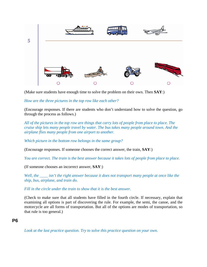

(Make sure students have enough time to solve the problem on their own. Then **SAY**:)

#### *How are the three pictures in the top row like each other?*

(Encourage responses. If there are students who don't understand how to solve the question, go through the process as follows.)

*All of the pictures in the top row are things that carry lots of people from place to place. The cruise ship lets many people travel by water. The bus takes many people around town. And the airplane flies many people from one airport to another.* 

*Which picture in the bottom row belongs in the same group?* 

(Encourage responses. If someone chooses the correct answer, the train, **SAY**:)

*You are correct. The train is the best answer because it takes lots of people from place to place.* 

(If someone chooses an incorrect answer, **SAY**:)

*Well, the \_\_\_\_ isn't the right answer because it does not transport many people at once like the ship, bus, airplane, and train do.* 

*Fill in the circle under the train to show that it is the best answer.* 

(Check to make sure that all students have filled in the fourth circle. If necessary, explain that examining all options is part of discovering the rule. For example, the semi, the canoe, and the motorcycle are all forms of transportation. But all of the options are modes of transportation, so that rule is too general.)

#### **P6**

*Look at the last practice question. Try to solve this practice question on your own.*